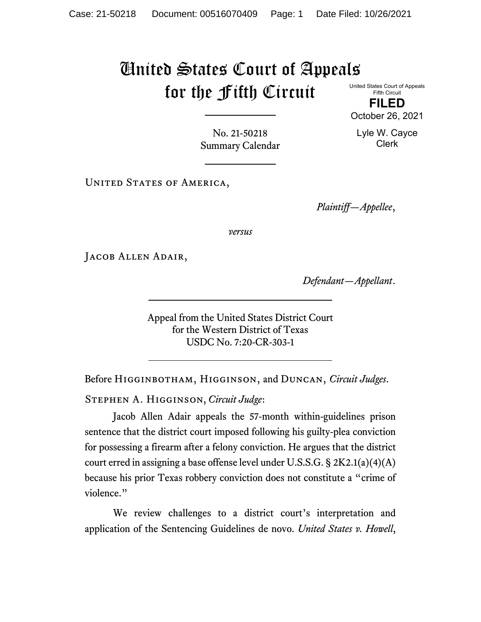## United States Court of Appeals for the Fifth Circuit United States Court of Appeals

Fifth Circuit **FILED**

No. 21-50218 Summary Calendar

UNITED STATES OF AMERICA,

*Plaintiff—Appellee*,

*versus*

Jacob Allen Adair,

*Defendant—Appellant*.

Appeal from the United States District Court for the Western District of Texas USDC No. 7:20-CR-303-1

Before Higginbotham, Higginson, and Duncan, *Circuit Judges*.

Stephen A. Higginson, *Circuit Judge*:

Jacob Allen Adair appeals the 57-month within-guidelines prison sentence that the district court imposed following his guilty-plea conviction for possessing a firearm after a felony conviction. He argues that the district court erred in assigning a base offense level under U.S.S.G. § 2K2.1(a)(4)(A) because his prior Texas robbery conviction does not constitute a "crime of violence."

We review challenges to a district court's interpretation and application of the Sentencing Guidelines de novo. *United States v. Howell*,

October 26, 2021

Lyle W. Cayce Clerk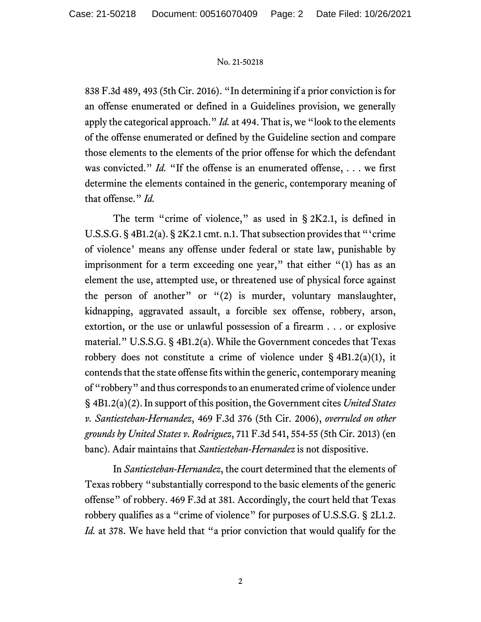## No. 21-50218

838 F.3d 489, 493 (5th Cir. 2016). "In determining if a prior conviction is for an offense enumerated or defined in a Guidelines provision, we generally apply the categorical approach." *Id.* at 494. That is, we "look to the elements of the offense enumerated or defined by the Guideline section and compare those elements to the elements of the prior offense for which the defendant was convicted." *Id.* "If the offense is an enumerated offense, ... we first determine the elements contained in the generic, contemporary meaning of that offense." *Id.*

The term "crime of violence," as used in § 2K2.1, is defined in U.S.S.G. § 4B1.2(a). § 2K2.1 cmt. n.1. That subsection provides that "'crime of violence' means any offense under federal or state law, punishable by imprisonment for a term exceeding one year," that either "(1) has as an element the use, attempted use, or threatened use of physical force against the person of another" or "(2) is murder, voluntary manslaughter, kidnapping, aggravated assault, a forcible sex offense, robbery, arson, extortion, or the use or unlawful possession of a firearm . . . or explosive material." U.S.S.G. § 4B1.2(a). While the Government concedes that Texas robbery does not constitute a crime of violence under  $\S$  4B1.2(a)(1), it contends that the state offense fits within the generic, contemporary meaning of "robbery" and thus corresponds to an enumerated crime of violence under § 4B1.2(a)(2). In support of this position, the Government cites *United States v. Santiesteban-Hernandez*, 469 F.3d 376 (5th Cir. 2006), *overruled on other grounds by United States v. Rodriguez*, 711 F.3d 541, 554-55 (5th Cir. 2013) (en banc). Adair maintains that *Santiesteban-Hernandez* is not dispositive.

In *Santiesteban-Hernandez*, the court determined that the elements of Texas robbery "substantially correspond to the basic elements of the generic offense" of robbery. 469 F.3d at 381. Accordingly, the court held that Texas robbery qualifies as a "crime of violence" for purposes of U.S.S.G. § 2L1.2. *Id.* at 378. We have held that "a prior conviction that would qualify for the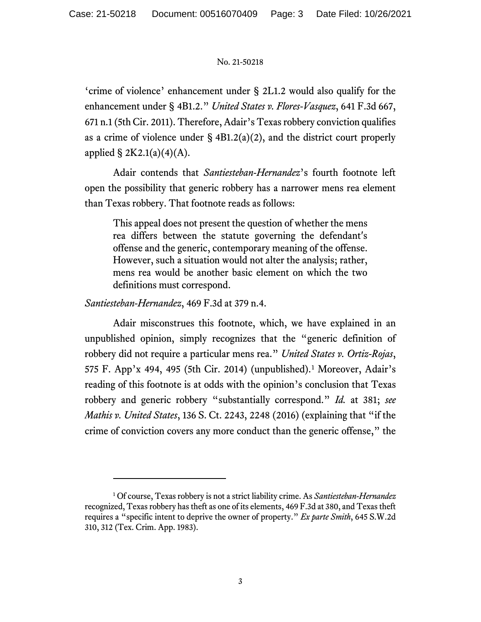## No. 21-50218

'crime of violence' enhancement under § 2L1.2 would also qualify for the enhancement under § 4B1.2." *United States v. Flores-Vasquez*, 641 F.3d 667, 671 n.1 (5th Cir. 2011). Therefore, Adair's Texas robbery conviction qualifies as a crime of violence under  $\S$  4B1.2(a)(2), and the district court properly applied  $\S 2K2.1(a)(4)(A)$ .

Adair contends that *Santiesteban-Hernandez*'s fourth footnote left open the possibility that generic robbery has a narrower mens rea element than Texas robbery. That footnote reads as follows:

This appeal does not present the question of whether the mens rea differs between the statute governing the defendant's offense and the generic, contemporary meaning of the offense. However, such a situation would not alter the analysis; rather, mens rea would be another basic element on which the two definitions must correspond.

*Santiesteban-Hernandez*, 469 F.3d at 379 n.4.

Adair misconstrues this footnote, which, we have explained in an unpublished opinion, simply recognizes that the "generic definition of robbery did not require a particular mens rea." *United States v. Ortiz-Rojas*, 575 F. App'x 494, 495 (5th Cir. 2014) (unpublished).[1](#page-2-0) Moreover, Adair's reading of this footnote is at odds with the opinion's conclusion that Texas robbery and generic robbery "substantially correspond." *Id.* at 381; *see Mathis v. United States*, 136 S. Ct. 2243, 2248 (2016) (explaining that "if the crime of conviction covers any more conduct than the generic offense," the

<span id="page-2-0"></span><sup>1</sup> Of course, Texas robbery is not a strict liability crime. As *Santiesteban-Hernandez* recognized, Texas robbery has theft as one of its elements, 469 F.3d at 380, and Texas theft requires a "specific intent to deprive the owner of property." *Ex parte Smith*, 645 S.W.2d 310, 312 (Tex. Crim. App. 1983).